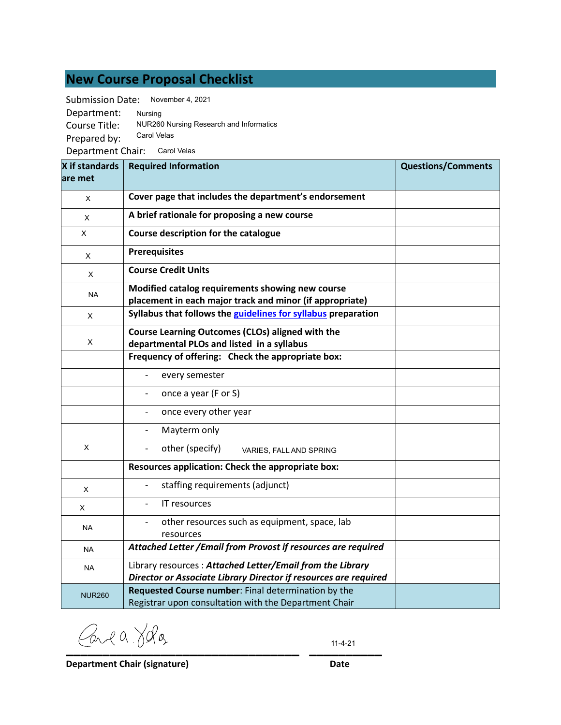# **New Course Proposal Checklist**

| <b>Submission Date:</b> | November 4, 2021                        |
|-------------------------|-----------------------------------------|
| Department:             | Nursing                                 |
| Course Title:           | NUR260 Nursing Research and Informatics |
| Prepared by:            | Carol Velas                             |
| Department Chair:       | Carol Velas                             |

**X if standards are met Questions/Comments Cover page that includes the department͛s endorsement A brief rationale for proposing a new course Course description for the catalogue Prerequisites Course Credit Units Modified catalog requirements showing new course placement in each major track and minor (if appropriate) Syllabus that follows the guidelines for syllabus preparation Course Learning Outcomes (CLOs) aligned with the departmental PLOs and listed in a syllabus Frequency of offering: Check the appropriate box:** - every semester - once a year (F or S) - once every other year - Mayterm only - other (specify) **Resources application: Check the appropriate box:**  - staffing requirements (adjunct) - IT resources other resources such as equipment, space, lab resources *Attached Letter /Email from Provost if resources are required*  Library resources : *Attached Letter/Email from the Library Director or Associate Library Director if resources are required* **Requested Course number**: Final determination by the Registrar upon consultation with the Department Chair X X X  $X$  - other (specify) varies, FALL AND SPRING NUR260 X X X X X X NA NA NA NA

**\_\_\_\_\_\_\_\_\_\_\_\_\_\_\_\_\_\_\_\_\_\_\_\_\_\_\_\_\_\_\_\_ \_\_\_\_\_\_\_\_\_\_**

11-4-21

**Department Chair (signature) Date**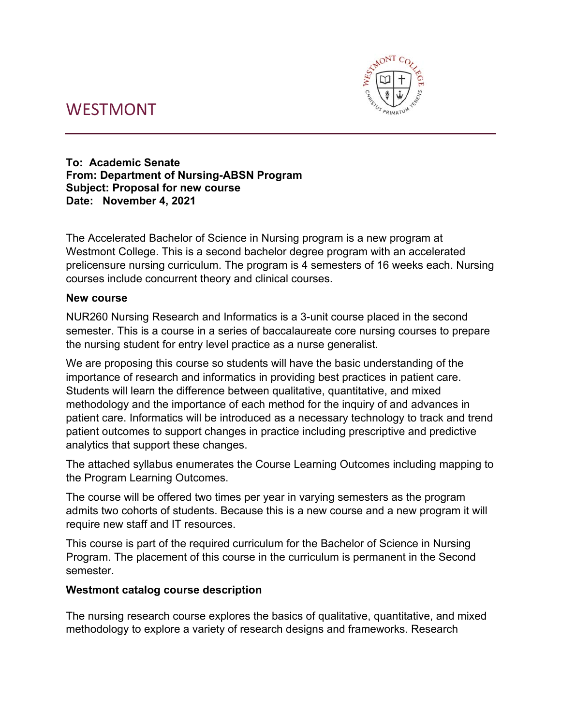# WESTMONT



**To: Academic Senate From: Department of Nursing-ABSN Program Subject: Proposal for new course Date: November 4, 2021** 

The Accelerated Bachelor of Science in Nursing program is a new program at Westmont College. This is a second bachelor degree program with an accelerated prelicensure nursing curriculum. The program is 4 semesters of 16 weeks each. Nursing courses include concurrent theory and clinical courses.

### **New course**

NUR260 Nursing Research and Informatics is a 3-unit course placed in the second semester. This is a course in a series of baccalaureate core nursing courses to prepare the nursing student for entry level practice as a nurse generalist.

We are proposing this course so students will have the basic understanding of the importance of research and informatics in providing best practices in patient care. Students will learn the difference between qualitative, quantitative, and mixed methodology and the importance of each method for the inquiry of and advances in patient care. Informatics will be introduced as a necessary technology to track and trend patient outcomes to support changes in practice including prescriptive and predictive analytics that support these changes.

The attached syllabus enumerates the Course Learning Outcomes including mapping to the Program Learning Outcomes.

The course will be offered two times per year in varying semesters as the program admits two cohorts of students. Because this is a new course and a new program it will require new staff and IT resources.

This course is part of the required curriculum for the Bachelor of Science in Nursing Program. The placement of this course in the curriculum is permanent in the Second semester.

## **Westmont catalog course description**

The nursing research course explores the basics of qualitative, quantitative, and mixed methodology to explore a variety of research designs and frameworks. Research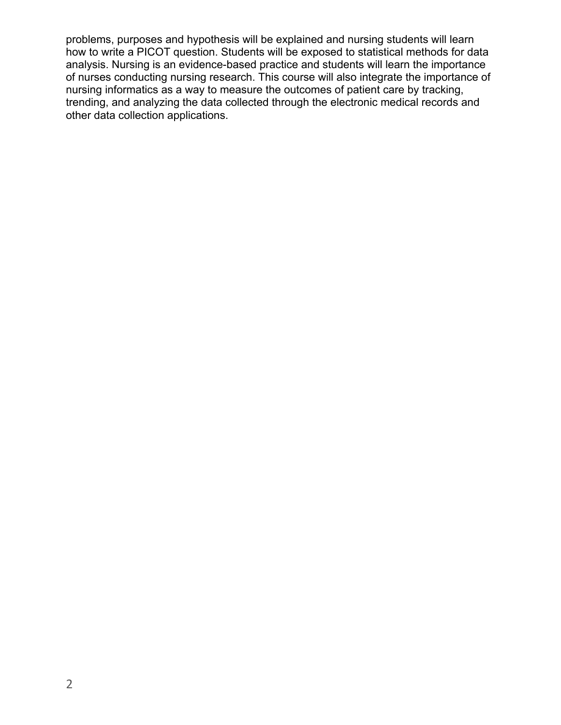problems, purposes and hypothesis will be explained and nursing students will learn how to write a PICOT question. Students will be exposed to statistical methods for data analysis. Nursing is an evidence-based practice and students will learn the importance of nurses conducting nursing research. This course will also integrate the importance of nursing informatics as a way to measure the outcomes of patient care by tracking, trending, and analyzing the data collected through the electronic medical records and other data collection applications.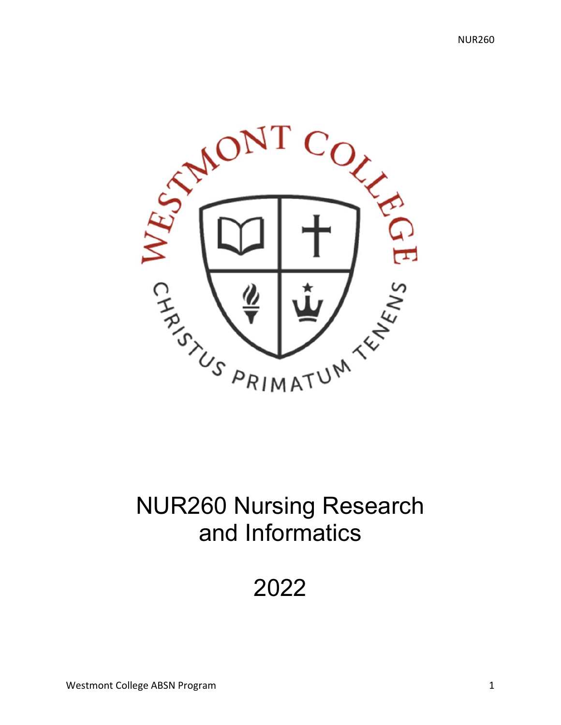

# NUR260 Nursing Research and Informatics

2022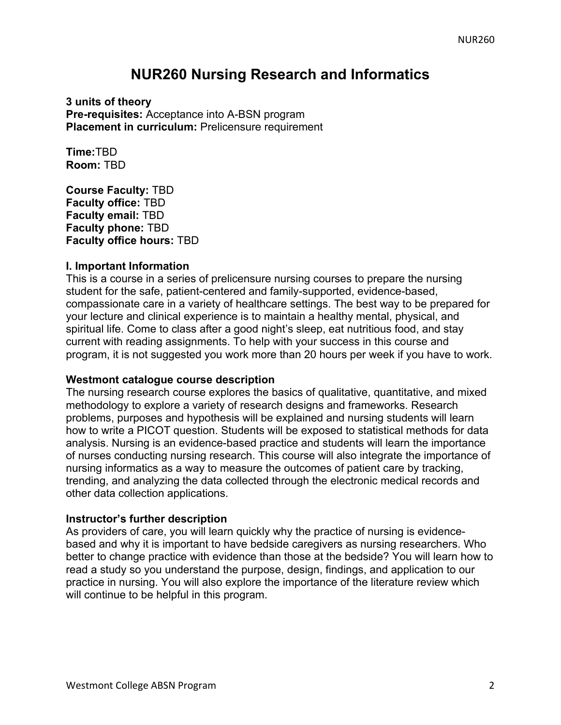# **NUR260 Nursing Research and Informatics**

**3 units of theory Pre-requisites:** Acceptance into A-BSN program **Placement in curriculum:** Prelicensure requirement

**Time:**TBD **Room:** TBD

**Course Faculty:** TBD **Faculty office:** TBD **Faculty email:** TBD **Faculty phone:** TBD **Faculty office hours:** TBD

### **I. Important Information**

This is a course in a series of prelicensure nursing courses to prepare the nursing student for the safe, patient-centered and family-supported, evidence-based, compassionate care in a variety of healthcare settings. The best way to be prepared for your lecture and clinical experience is to maintain a healthy mental, physical, and spiritual life. Come to class after a good night's sleep, eat nutritious food, and stay current with reading assignments. To help with your success in this course and program, it is not suggested you work more than 20 hours per week if you have to work.

### **Westmont catalogue course description**

The nursing research course explores the basics of qualitative, quantitative, and mixed methodology to explore a variety of research designs and frameworks. Research problems, purposes and hypothesis will be explained and nursing students will learn how to write a PICOT question. Students will be exposed to statistical methods for data analysis. Nursing is an evidence-based practice and students will learn the importance of nurses conducting nursing research. This course will also integrate the importance of nursing informatics as a way to measure the outcomes of patient care by tracking, trending, and analyzing the data collected through the electronic medical records and other data collection applications.

### **Instructor's further description**

As providers of care, you will learn quickly why the practice of nursing is evidencebased and why it is important to have bedside caregivers as nursing researchers. Who better to change practice with evidence than those at the bedside? You will learn how to read a study so you understand the purpose, design, findings, and application to our practice in nursing. You will also explore the importance of the literature review which will continue to be helpful in this program.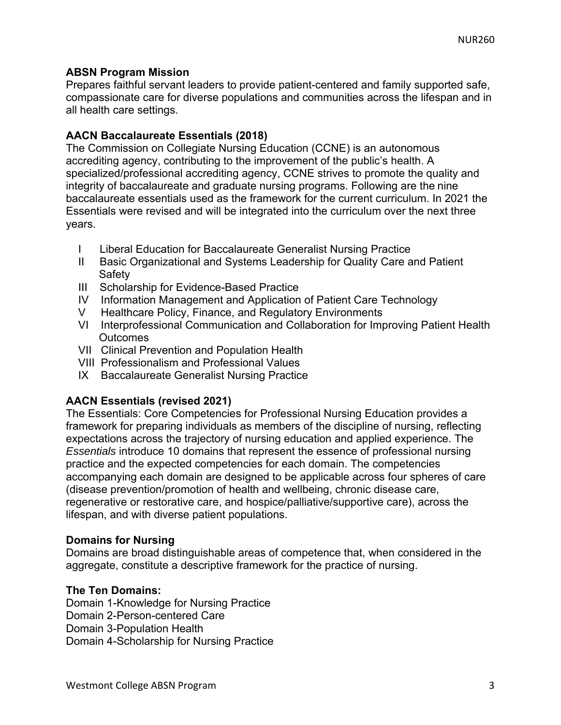## **ABSN Program Mission**

Prepares faithful servant leaders to provide patient-centered and family supported safe, compassionate care for diverse populations and communities across the lifespan and in all health care settings.

### **AACN Baccalaureate Essentials (2018)**

The Commission on Collegiate Nursing Education (CCNE) is an autonomous accrediting agency, contributing to the improvement of the public's health. A specialized/professional accrediting agency, CCNE strives to promote the quality and integrity of baccalaureate and graduate nursing programs. Following are the nine baccalaureate essentials used as the framework for the current curriculum. In 2021 the Essentials were revised and will be integrated into the curriculum over the next three years.

- I Liberal Education for Baccalaureate Generalist Nursing Practice
- II Basic Organizational and Systems Leadership for Quality Care and Patient **Safety**
- III Scholarship for Evidence-Based Practice
- IV Information Management and Application of Patient Care Technology
- V Healthcare Policy, Finance, and Regulatory Environments
- VI Interprofessional Communication and Collaboration for Improving Patient Health **Outcomes**
- VII Clinical Prevention and Population Health
- VIII Professionalism and Professional Values
- IX Baccalaureate Generalist Nursing Practice

## **AACN Essentials (revised 2021)**

The Essentials: Core Competencies for Professional Nursing Education provides a framework for preparing individuals as members of the discipline of nursing, reflecting expectations across the trajectory of nursing education and applied experience. The *Essentials* introduce 10 domains that represent the essence of professional nursing practice and the expected competencies for each domain. The competencies accompanying each domain are designed to be applicable across four spheres of care (disease prevention/promotion of health and wellbeing, chronic disease care, regenerative or restorative care, and hospice/palliative/supportive care), across the lifespan, and with diverse patient populations.

### **Domains for Nursing**

Domains are broad distinguishable areas of competence that, when considered in the aggregate, constitute a descriptive framework for the practice of nursing.

### **The Ten Domains:**

Domain 1-Knowledge for Nursing Practice Domain 2-Person-centered Care Domain 3-Population Health Domain 4-Scholarship for Nursing Practice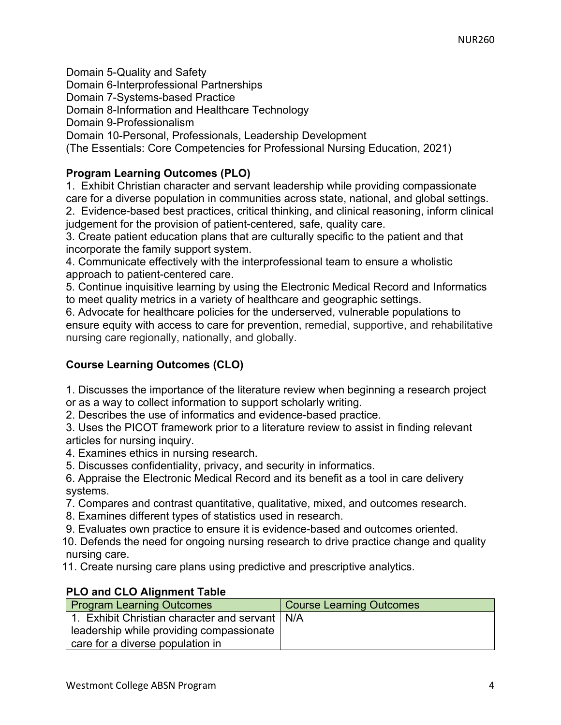Domain 5-Quality and Safety Domain 6-Interprofessional Partnerships Domain 7-Systems-based Practice Domain 8-Information and Healthcare Technology Domain 9-Professionalism Domain 10-Personal, Professionals, Leadership Development (The Essentials: Core Competencies for Professional Nursing Education, 2021)

# **Program Learning Outcomes (PLO)**

1. Exhibit Christian character and servant leadership while providing compassionate care for a diverse population in communities across state, national, and global settings.

2. Evidence-based best practices, critical thinking, and clinical reasoning, inform clinical judgement for the provision of patient-centered, safe, quality care.

3. Create patient education plans that are culturally specific to the patient and that incorporate the family support system.

4. Communicate effectively with the interprofessional team to ensure a wholistic approach to patient-centered care.

5. Continue inquisitive learning by using the Electronic Medical Record and Informatics to meet quality metrics in a variety of healthcare and geographic settings.

6. Advocate for healthcare policies for the underserved, vulnerable populations to ensure equity with access to care for prevention, remedial, supportive, and rehabilitative nursing care regionally, nationally, and globally.

# **Course Learning Outcomes (CLO)**

1. Discusses the importance of the literature review when beginning a research project or as a way to collect information to support scholarly writing.

2. Describes the use of informatics and evidence-based practice.

3. Uses the PICOT framework prior to a literature review to assist in finding relevant articles for nursing inquiry.

4. Examines ethics in nursing research.

5. Discusses confidentiality, privacy, and security in informatics.

6. Appraise the Electronic Medical Record and its benefit as a tool in care delivery systems.

7. Compares and contrast quantitative, qualitative, mixed, and outcomes research.

8. Examines different types of statistics used in research.

9. Evaluates own practice to ensure it is evidence-based and outcomes oriented.

10. Defends the need for ongoing nursing research to drive practice change and quality nursing care.

11. Create nursing care plans using predictive and prescriptive analytics.

# **PLO and CLO Alignment Table**

| <b>Program Learning Outcomes</b>                 | <b>Course Learning Outcomes</b> |
|--------------------------------------------------|---------------------------------|
| 1. Exhibit Christian character and servant   N/A |                                 |
| leadership while providing compassionate         |                                 |
| care for a diverse population in                 |                                 |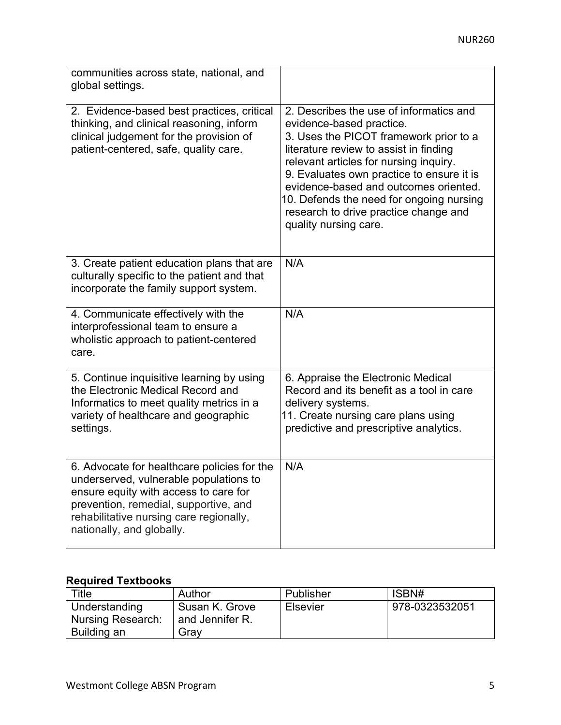| communities across state, national, and<br>global settings.                                                                                                                                                                                     |                                                                                                                                                                                                                                                                                                                                                                                                       |
|-------------------------------------------------------------------------------------------------------------------------------------------------------------------------------------------------------------------------------------------------|-------------------------------------------------------------------------------------------------------------------------------------------------------------------------------------------------------------------------------------------------------------------------------------------------------------------------------------------------------------------------------------------------------|
| 2. Evidence-based best practices, critical<br>thinking, and clinical reasoning, inform<br>clinical judgement for the provision of<br>patient-centered, safe, quality care.                                                                      | 2. Describes the use of informatics and<br>evidence-based practice.<br>3. Uses the PICOT framework prior to a<br>literature review to assist in finding<br>relevant articles for nursing inquiry.<br>9. Evaluates own practice to ensure it is<br>evidence-based and outcomes oriented.<br>10. Defends the need for ongoing nursing<br>research to drive practice change and<br>quality nursing care. |
| 3. Create patient education plans that are<br>culturally specific to the patient and that<br>incorporate the family support system.                                                                                                             | N/A                                                                                                                                                                                                                                                                                                                                                                                                   |
| 4. Communicate effectively with the<br>interprofessional team to ensure a<br>wholistic approach to patient-centered<br>care.                                                                                                                    | N/A                                                                                                                                                                                                                                                                                                                                                                                                   |
| 5. Continue inquisitive learning by using<br>the Electronic Medical Record and<br>Informatics to meet quality metrics in a<br>variety of healthcare and geographic<br>settings.                                                                 | 6. Appraise the Electronic Medical<br>Record and its benefit as a tool in care<br>delivery systems.<br>11. Create nursing care plans using<br>predictive and prescriptive analytics.                                                                                                                                                                                                                  |
| 6. Advocate for healthcare policies for the<br>underserved, vulnerable populations to<br>ensure equity with access to care for<br>prevention, remedial, supportive, and<br>rehabilitative nursing care regionally,<br>nationally, and globally. | N/A                                                                                                                                                                                                                                                                                                                                                                                                   |

# **Required Textbooks**

| Title                                               | Author                                    | Publisher       | ISBN#          |
|-----------------------------------------------------|-------------------------------------------|-----------------|----------------|
| Understanding<br>I Nursing Research:<br>Building an | Susan K. Grove<br>and Jennifer R.<br>Grav | <b>Elsevier</b> | 978-0323532051 |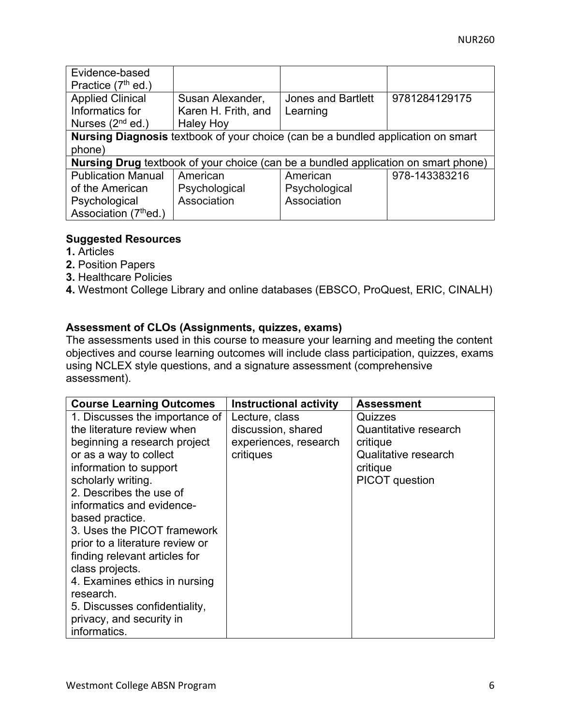| Evidence-based                                                                            |                                                                                  |                           |               |  |  |
|-------------------------------------------------------------------------------------------|----------------------------------------------------------------------------------|---------------------------|---------------|--|--|
| Practice $(7th$ ed.)                                                                      |                                                                                  |                           |               |  |  |
| <b>Applied Clinical</b>                                                                   | Susan Alexander,                                                                 | <b>Jones and Bartlett</b> | 9781284129175 |  |  |
| Informatics for                                                                           | Karen H. Frith, and                                                              | Learning                  |               |  |  |
| Nurses $(2^{nd}$ ed.)                                                                     | <b>Haley Hoy</b>                                                                 |                           |               |  |  |
|                                                                                           | Nursing Diagnosis textbook of your choice (can be a bundled application on smart |                           |               |  |  |
| phone)                                                                                    |                                                                                  |                           |               |  |  |
| <b>Nursing Drug</b> textbook of your choice (can be a bundled application on smart phone) |                                                                                  |                           |               |  |  |
| <b>Publication Manual</b>                                                                 | American                                                                         | American                  | 978-143383216 |  |  |
| of the American                                                                           | Psychological                                                                    | Psychological             |               |  |  |
| Psychological                                                                             | Association                                                                      | Association               |               |  |  |
| Association (7 <sup>th</sup> ed.)                                                         |                                                                                  |                           |               |  |  |

## **Suggested Resources**

- **1.** Articles
- **2.** Position Papers
- **3.** Healthcare Policies
- **4.** Westmont College Library and online databases (EBSCO, ProQuest, ERIC, CINALH)

# **Assessment of CLOs (Assignments, quizzes, exams)**

The assessments used in this course to measure your learning and meeting the content objectives and course learning outcomes will include class participation, quizzes, exams using NCLEX style questions, and a signature assessment (comprehensive assessment).

| <b>Course Learning Outcomes</b> | <b>Instructional activity</b> | Assessment            |
|---------------------------------|-------------------------------|-----------------------|
| 1. Discusses the importance of  | Lecture, class                | Quizzes               |
| the literature review when      | discussion, shared            | Quantitative research |
| beginning a research project    | experiences, research         | critique              |
| or as a way to collect          | critiques                     | Qualitative research  |
| information to support          |                               | critique              |
| scholarly writing.              |                               | <b>PICOT</b> question |
| 2. Describes the use of         |                               |                       |
| informatics and evidence-       |                               |                       |
| based practice.                 |                               |                       |
| 3. Uses the PICOT framework     |                               |                       |
| prior to a literature review or |                               |                       |
| finding relevant articles for   |                               |                       |
| class projects.                 |                               |                       |
| 4. Examines ethics in nursing   |                               |                       |
| research.                       |                               |                       |
| 5. Discusses confidentiality,   |                               |                       |
| privacy, and security in        |                               |                       |
| informatics.                    |                               |                       |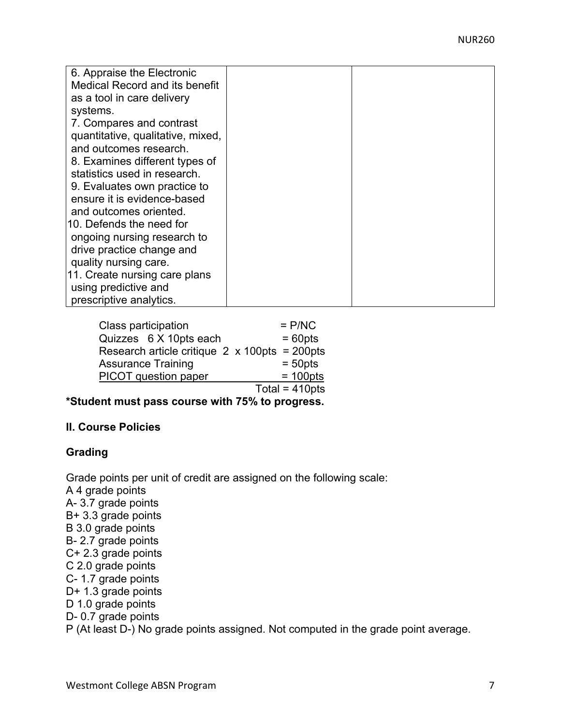| 6. Appraise the Electronic        |  |
|-----------------------------------|--|
| Medical Record and its benefit    |  |
| as a tool in care delivery        |  |
|                                   |  |
| systems.                          |  |
| 7. Compares and contrast          |  |
| quantitative, qualitative, mixed, |  |
| and outcomes research.            |  |
| 8. Examines different types of    |  |
| statistics used in research.      |  |
| 9. Evaluates own practice to      |  |
| ensure it is evidence-based       |  |
| and outcomes oriented.            |  |
| 10. Defends the need for          |  |
| ongoing nursing research to       |  |
| drive practice change and         |  |
| quality nursing care.             |  |
| 11. Create nursing care plans     |  |
| using predictive and              |  |
| prescriptive analytics.           |  |

| Class participation                                   | $=$ P/NC         |
|-------------------------------------------------------|------------------|
| Quizzes 6 X 10pts each                                | $= 60pts$        |
| Research article critique $2 \times 100$ pts = 200pts |                  |
| <b>Assurance Training</b>                             | $= 50$ pts       |
| <b>PICOT</b> question paper                           | $= 100$ pts      |
|                                                       | Total = $410pts$ |

**\*Student must pass course with 75% to progress.** 

## **II. Course Policies**

# **Grading**

Grade points per unit of credit are assigned on the following scale: A 4 grade points A- 3.7 grade points B+ 3.3 grade points B 3.0 grade points B- 2.7 grade points C+ 2.3 grade points C 2.0 grade points C- 1.7 grade points D+ 1.3 grade points D 1.0 grade points D- 0.7 grade points P (At least D-) No grade points assigned. Not computed in the grade point average.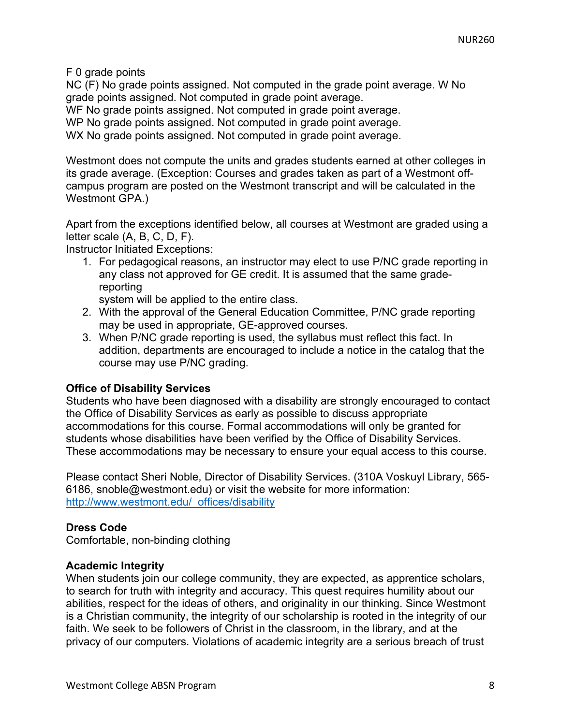F 0 grade points

NC (F) No grade points assigned. Not computed in the grade point average. W No grade points assigned. Not computed in grade point average.

WF No grade points assigned. Not computed in grade point average.

WP No grade points assigned. Not computed in grade point average.

WX No grade points assigned. Not computed in grade point average.

Westmont does not compute the units and grades students earned at other colleges in its grade average. (Exception: Courses and grades taken as part of a Westmont offcampus program are posted on the Westmont transcript and will be calculated in the Westmont GPA.)

Apart from the exceptions identified below, all courses at Westmont are graded using a letter scale (A, B, C, D, F).

Instructor Initiated Exceptions:

1. For pedagogical reasons, an instructor may elect to use P/NC grade reporting in any class not approved for GE credit. It is assumed that the same gradereporting

system will be applied to the entire class.

- 2. With the approval of the General Education Committee, P/NC grade reporting may be used in appropriate, GE-approved courses.
- 3. When P/NC grade reporting is used, the syllabus must reflect this fact. In addition, departments are encouraged to include a notice in the catalog that the course may use P/NC grading.

## **Office of Disability Services**

Students who have been diagnosed with a disability are strongly encouraged to contact the Office of Disability Services as early as possible to discuss appropriate accommodations for this course. Formal accommodations will only be granted for students whose disabilities have been verified by the Office of Disability Services. These accommodations may be necessary to ensure your equal access to this course.

Please contact Sheri Noble, Director of Disability Services. (310A Voskuyl Library, 565- 6186, snoble@westmont.edu) or visit the website for more information: http://www.westmont.edu/\_offices/disability

## **Dress Code**

Comfortable, non-binding clothing

## **Academic Integrity**

When students join our college community, they are expected, as apprentice scholars, to search for truth with integrity and accuracy. This quest requires humility about our abilities, respect for the ideas of others, and originality in our thinking. Since Westmont is a Christian community, the integrity of our scholarship is rooted in the integrity of our faith. We seek to be followers of Christ in the classroom, in the library, and at the privacy of our computers. Violations of academic integrity are a serious breach of trust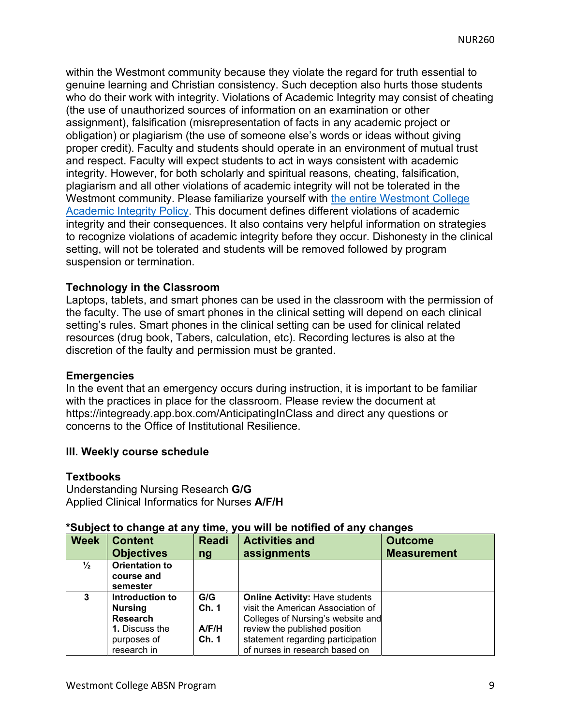within the Westmont community because they violate the regard for truth essential to genuine learning and Christian consistency. Such deception also hurts those students who do their work with integrity. Violations of Academic Integrity may consist of cheating (the use of unauthorized sources of information on an examination or other assignment), falsification (misrepresentation of facts in any academic project or obligation) or plagiarism (the use of someone else's words or ideas without giving proper credit). Faculty and students should operate in an environment of mutual trust and respect. Faculty will expect students to act in ways consistent with academic integrity. However, for both scholarly and spiritual reasons, cheating, falsification, plagiarism and all other violations of academic integrity will not be tolerated in the Westmont community. Please familiarize yourself with the entire Westmont College Academic Integrity Policy. This document defines different violations of academic integrity and their consequences. It also contains very helpful information on strategies to recognize violations of academic integrity before they occur. Dishonesty in the clinical setting, will not be tolerated and students will be removed followed by program suspension or termination.

### **Technology in the Classroom**

Laptops, tablets, and smart phones can be used in the classroom with the permission of the faculty. The use of smart phones in the clinical setting will depend on each clinical setting's rules. Smart phones in the clinical setting can be used for clinical related resources (drug book, Tabers, calculation, etc). Recording lectures is also at the discretion of the faulty and permission must be granted.

### **Emergencies**

In the event that an emergency occurs during instruction, it is important to be familiar with the practices in place for the classroom. Please review the document at https://integready.app.box.com/AnticipatingInClass and direct any questions or concerns to the Office of Institutional Resilience.

#### **III. Weekly course schedule**

#### **Textbooks**

Understanding Nursing Research **G/G** Applied Clinical Informatics for Nurses **A/F/H**

| <b>Week</b>   | <b>Content</b>        | <b>Readi</b> | <b>Activities and</b>                 | <b>Outcome</b>     |
|---------------|-----------------------|--------------|---------------------------------------|--------------------|
|               | <b>Objectives</b>     | ng           | assignments                           | <b>Measurement</b> |
| $\frac{1}{2}$ | <b>Orientation to</b> |              |                                       |                    |
|               | course and            |              |                                       |                    |
|               | semester              |              |                                       |                    |
|               | Introduction to       | G/G          | <b>Online Activity: Have students</b> |                    |
|               | <b>Nursing</b>        | <b>Ch. 1</b> | visit the American Association of     |                    |
|               | <b>Research</b>       |              | Colleges of Nursing's website and     |                    |
|               | <b>1.</b> Discuss the | $A$ /F/H     | review the published position         |                    |
|               | purposes of           | Ch. 1        | statement regarding participation     |                    |
|               | research in           |              | of nurses in research based on        |                    |

#### **\*Subject to change at any time, you will be notified of any changes**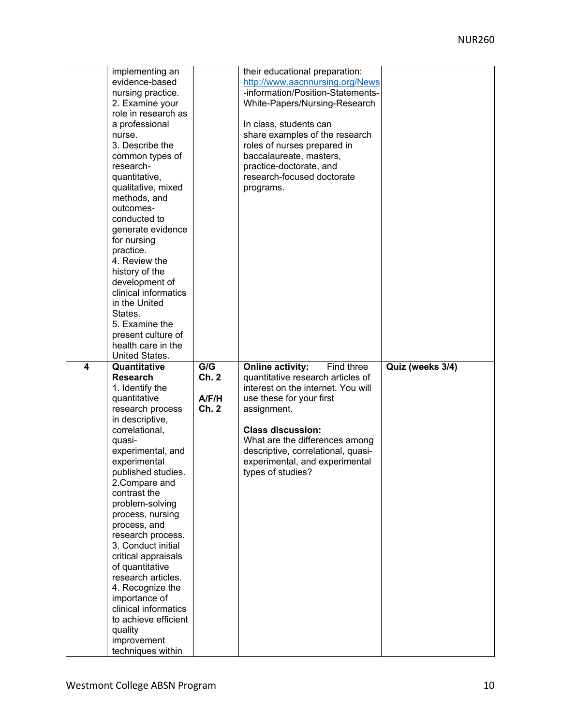|   | implementing an<br>evidence-based<br>nursing practice.<br>2. Examine your<br>role in research as<br>a professional<br>nurse.<br>3. Describe the<br>common types of<br>research-<br>quantitative,<br>qualitative, mixed<br>methods, and<br>outcomes-<br>conducted to<br>generate evidence<br>for nursing<br>practice.<br>4. Review the<br>history of the<br>development of<br>clinical informatics<br>in the United<br>States.<br>5. Examine the<br>present culture of<br>health care in the                                                               |                                | their educational preparation:<br>http://www.aacnnursing.org/News<br>-information/Position-Statements-<br>White-Papers/Nursing-Research<br>In class, students can<br>share examples of the research<br>roles of nurses prepared in<br>baccalaureate, masters,<br>practice-doctorate, and<br>research-focused doctorate<br>programs. |                  |
|---|-----------------------------------------------------------------------------------------------------------------------------------------------------------------------------------------------------------------------------------------------------------------------------------------------------------------------------------------------------------------------------------------------------------------------------------------------------------------------------------------------------------------------------------------------------------|--------------------------------|-------------------------------------------------------------------------------------------------------------------------------------------------------------------------------------------------------------------------------------------------------------------------------------------------------------------------------------|------------------|
| 4 | United States.<br>Quantitative<br><b>Research</b><br>1. Identify the<br>quantitative<br>research process<br>in descriptive,<br>correlational,<br>quasi-<br>experimental, and<br>experimental<br>published studies.<br>2.Compare and<br>contrast the<br>problem-solving<br>process, nursing<br>process, and<br>research process.<br>3. Conduct initial<br>critical appraisals<br>of quantitative<br>research articles.<br>4. Recognize the<br>importance of<br>clinical informatics<br>to achieve efficient<br>quality<br>improvement<br>techniques within | G/G<br>Ch. 2<br>A/F/H<br>Ch. 2 | <b>Online activity:</b><br>Find three<br>quantitative research articles of<br>interest on the internet. You will<br>use these for your first<br>assignment.<br><b>Class discussion:</b><br>What are the differences among<br>descriptive, correlational, quasi-<br>experimental, and experimental<br>types of studies?              | Quiz (weeks 3/4) |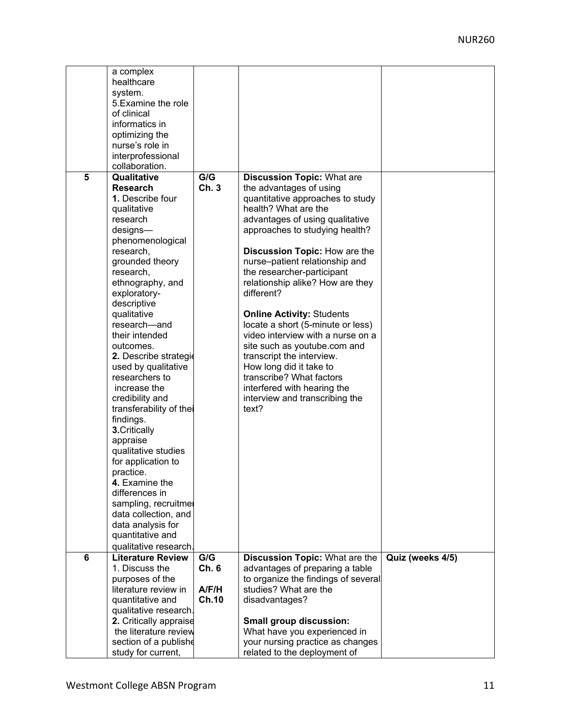|                 | a complex<br>healthcare               |              |                                                          |                  |
|-----------------|---------------------------------------|--------------|----------------------------------------------------------|------------------|
|                 | system.                               |              |                                                          |                  |
|                 | 5. Examine the role                   |              |                                                          |                  |
|                 | of clinical                           |              |                                                          |                  |
|                 | informatics in                        |              |                                                          |                  |
|                 | optimizing the                        |              |                                                          |                  |
|                 | nurse's role in                       |              |                                                          |                  |
|                 | interprofessional                     |              |                                                          |                  |
|                 | collaboration.                        |              |                                                          |                  |
| $5\phantom{.0}$ | Qualitative                           | G/G          | <b>Discussion Topic: What are</b>                        |                  |
|                 | <b>Research</b>                       | Ch.3         | the advantages of using                                  |                  |
|                 | 1. Describe four                      |              | quantitative approaches to study<br>health? What are the |                  |
|                 | qualitative<br>research               |              | advantages of using qualitative                          |                  |
|                 | designs-                              |              | approaches to studying health?                           |                  |
|                 | phenomenological                      |              |                                                          |                  |
|                 | research,                             |              | <b>Discussion Topic: How are the</b>                     |                  |
|                 | grounded theory                       |              | nurse-patient relationship and                           |                  |
|                 | research,                             |              | the researcher-participant                               |                  |
|                 | ethnography, and                      |              | relationship alike? How are they                         |                  |
|                 | exploratory-                          |              | different?                                               |                  |
|                 | descriptive                           |              |                                                          |                  |
|                 | qualitative                           |              | <b>Online Activity: Students</b>                         |                  |
|                 | research-and                          |              | locate a short (5-minute or less)                        |                  |
|                 | their intended                        |              | video interview with a nurse on a                        |                  |
|                 | outcomes.                             |              | site such as youtube.com and                             |                  |
|                 | 2. Describe strategie                 |              | transcript the interview.                                |                  |
|                 | used by qualitative<br>researchers to |              | How long did it take to<br>transcribe? What factors      |                  |
|                 | increase the                          |              | interfered with hearing the                              |                  |
|                 | credibility and                       |              | interview and transcribing the                           |                  |
|                 | transferability of thei               |              | text?                                                    |                  |
|                 | findings.                             |              |                                                          |                  |
|                 | 3. Critically                         |              |                                                          |                  |
|                 | appraise                              |              |                                                          |                  |
|                 | qualitative studies                   |              |                                                          |                  |
|                 | for application to                    |              |                                                          |                  |
|                 | practice.                             |              |                                                          |                  |
|                 | 4. Examine the                        |              |                                                          |                  |
|                 | differences in                        |              |                                                          |                  |
|                 | sampling, recruitmer                  |              |                                                          |                  |
|                 | data collection, and                  |              |                                                          |                  |
|                 | data analysis for<br>quantitative and |              |                                                          |                  |
|                 | qualitative research.                 |              |                                                          |                  |
| 6               | <b>Literature Review</b>              | G/G          | <b>Discussion Topic: What are the</b>                    | Quiz (weeks 4/5) |
|                 | 1. Discuss the                        | Ch. 6        | advantages of preparing a table                          |                  |
|                 | purposes of the                       |              | to organize the findings of several                      |                  |
|                 | literature review in                  | A/F/H        | studies? What are the                                    |                  |
|                 | quantitative and                      | <b>Ch.10</b> | disadvantages?                                           |                  |
|                 | qualitative research.                 |              |                                                          |                  |
|                 | 2. Critically appraise                |              | <b>Small group discussion:</b>                           |                  |
|                 | the literature review                 |              | What have you experienced in                             |                  |
|                 | section of a publishe                 |              | your nursing practice as changes                         |                  |
|                 | study for current,                    |              | related to the deployment of                             |                  |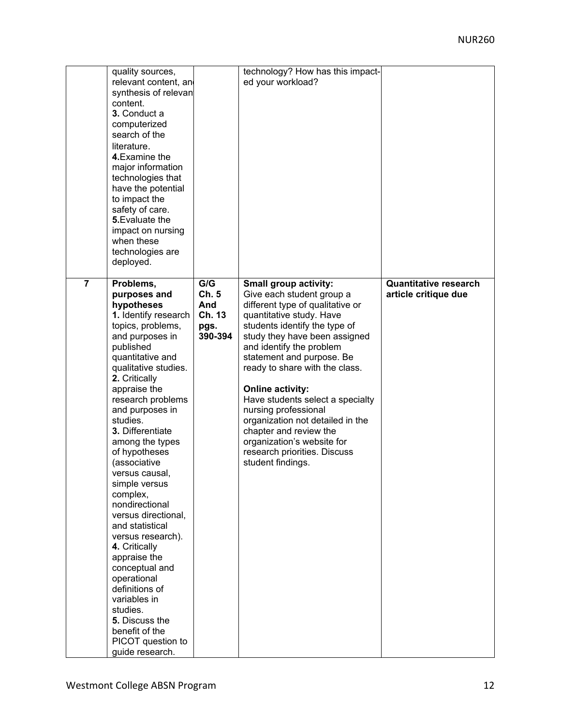|                | quality sources,<br>relevant content, and<br>synthesis of relevan<br>content.<br>3. Conduct a<br>computerized<br>search of the<br>literature.<br>4. Examine the<br>major information<br>technologies that<br>have the potential<br>to impact the<br>safety of care.<br>5. Evaluate the<br>impact on nursing<br>when these<br>technologies are<br>deployed.                                                                                                                                                                                                                                                                                                |                                                  | technology? How has this impact-<br>ed your workload?                                                                                                                                                                                                                                                                                                                                                                                                                                                                   |                                                      |
|----------------|-----------------------------------------------------------------------------------------------------------------------------------------------------------------------------------------------------------------------------------------------------------------------------------------------------------------------------------------------------------------------------------------------------------------------------------------------------------------------------------------------------------------------------------------------------------------------------------------------------------------------------------------------------------|--------------------------------------------------|-------------------------------------------------------------------------------------------------------------------------------------------------------------------------------------------------------------------------------------------------------------------------------------------------------------------------------------------------------------------------------------------------------------------------------------------------------------------------------------------------------------------------|------------------------------------------------------|
| $\overline{7}$ | Problems,<br>purposes and<br>hypotheses<br>1. Identify research<br>topics, problems,<br>and purposes in<br>published<br>quantitative and<br>qualitative studies.<br>2. Critically<br>appraise the<br>research problems<br>and purposes in<br>studies.<br>3. Differentiate<br>among the types<br>of hypotheses<br>(associative<br>versus causal.<br>simple versus<br>complex,<br>nondirectional<br>versus directional,<br>and statistical<br>versus research).<br>4. Critically<br>appraise the<br>conceptual and<br>operational<br>definitions of<br>variables in<br>studies.<br>5. Discuss the<br>benefit of the<br>PICOT question to<br>guide research. | G/G<br>Ch. 5<br>And<br>Ch. 13<br>pgs.<br>390-394 | Small group activity:<br>Give each student group a<br>different type of qualitative or<br>quantitative study. Have<br>students identify the type of<br>study they have been assigned<br>and identify the problem<br>statement and purpose. Be<br>ready to share with the class.<br><b>Online activity:</b><br>Have students select a specialty<br>nursing professional<br>organization not detailed in the<br>chapter and review the<br>organization's website for<br>research priorities. Discuss<br>student findings. | <b>Quantitative research</b><br>article critique due |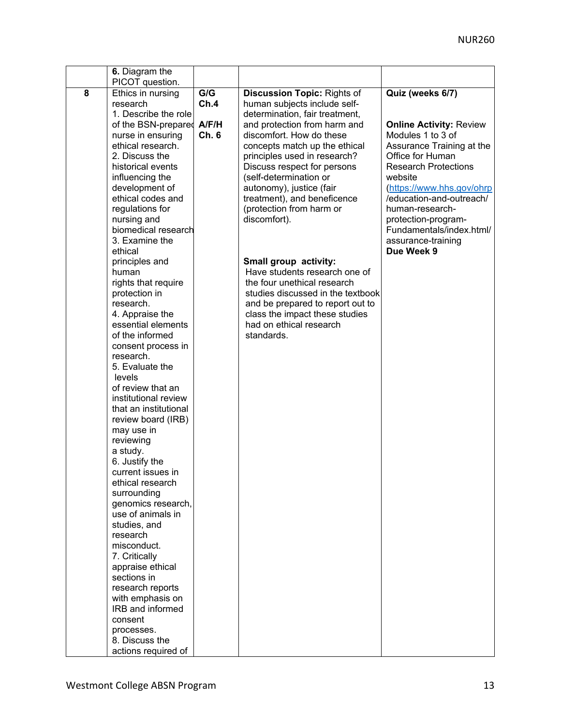|   | 6. Diagram the                     |       |                                    |                                                 |
|---|------------------------------------|-------|------------------------------------|-------------------------------------------------|
|   | PICOT question.                    |       |                                    |                                                 |
| 8 | Ethics in nursing                  | G/G   | <b>Discussion Topic: Rights of</b> | Quiz (weeks 6/7)                                |
|   | research                           | Ch.4  | human subjects include self-       |                                                 |
|   | 1. Describe the role               |       | determination, fair treatment,     |                                                 |
|   | of the BSN-prepared A/F/H          |       | and protection from harm and       | <b>Online Activity: Review</b>                  |
|   | nurse in ensuring                  | Ch. 6 | discomfort. How do these           | Modules 1 to 3 of                               |
|   | ethical research.                  |       | concepts match up the ethical      | Assurance Training at the                       |
|   | 2. Discuss the                     |       | principles used in research?       | Office for Human                                |
|   | historical events                  |       | Discuss respect for persons        | <b>Research Protections</b>                     |
|   | influencing the                    |       | (self-determination or             | website                                         |
|   | development of                     |       | autonomy), justice (fair           | (https://www.hhs.gov/ohrp                       |
|   | ethical codes and                  |       | treatment), and beneficence        | /education-and-outreach/                        |
|   | regulations for                    |       | (protection from harm or           | human-research-                                 |
|   | nursing and<br>biomedical research |       | discomfort).                       | protection-program-<br>Fundamentals/index.html/ |
|   | 3. Examine the                     |       |                                    | assurance-training                              |
|   | ethical                            |       |                                    | Due Week 9                                      |
|   | principles and                     |       | Small group activity:              |                                                 |
|   | human                              |       | Have students research one of      |                                                 |
|   | rights that require                |       | the four unethical research        |                                                 |
|   | protection in                      |       | studies discussed in the textbook  |                                                 |
|   | research.                          |       | and be prepared to report out to   |                                                 |
|   | 4. Appraise the                    |       | class the impact these studies     |                                                 |
|   | essential elements                 |       | had on ethical research            |                                                 |
|   | of the informed                    |       | standards.                         |                                                 |
|   | consent process in                 |       |                                    |                                                 |
|   | research.                          |       |                                    |                                                 |
|   | 5. Evaluate the                    |       |                                    |                                                 |
|   | levels<br>of review that an        |       |                                    |                                                 |
|   | institutional review               |       |                                    |                                                 |
|   | that an institutional              |       |                                    |                                                 |
|   | review board (IRB)                 |       |                                    |                                                 |
|   | may use in                         |       |                                    |                                                 |
|   | reviewing                          |       |                                    |                                                 |
|   | a study.                           |       |                                    |                                                 |
|   | 6. Justify the                     |       |                                    |                                                 |
|   | current issues in                  |       |                                    |                                                 |
|   | ethical research                   |       |                                    |                                                 |
|   | surrounding                        |       |                                    |                                                 |
|   | genomics research,                 |       |                                    |                                                 |
|   | use of animals in<br>studies, and  |       |                                    |                                                 |
|   | research                           |       |                                    |                                                 |
|   | misconduct.                        |       |                                    |                                                 |
|   | 7. Critically                      |       |                                    |                                                 |
|   | appraise ethical                   |       |                                    |                                                 |
|   | sections in                        |       |                                    |                                                 |
|   | research reports                   |       |                                    |                                                 |
|   | with emphasis on                   |       |                                    |                                                 |
|   | IRB and informed                   |       |                                    |                                                 |
|   | consent                            |       |                                    |                                                 |
|   | processes.                         |       |                                    |                                                 |
|   | 8. Discuss the                     |       |                                    |                                                 |
|   | actions required of                |       |                                    |                                                 |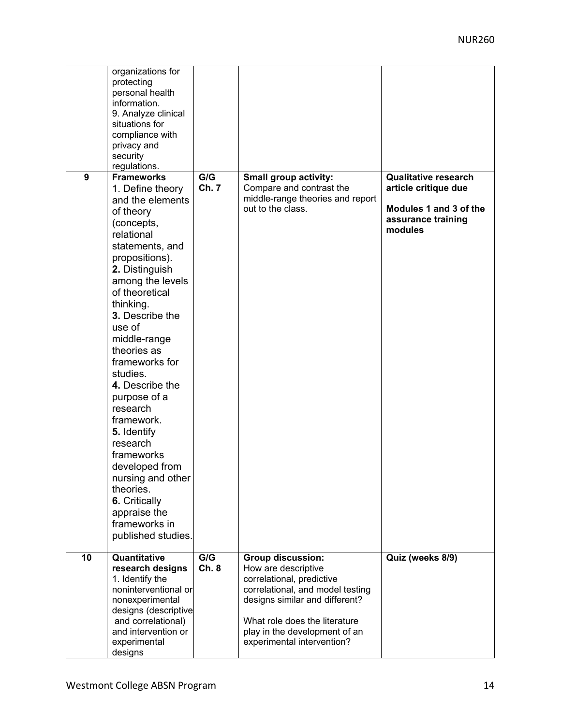|    | organizations for<br>protecting<br>personal health<br>information.<br>9. Analyze clinical<br>situations for<br>compliance with<br>privacy and<br>security<br>regulations.                                                                                                                                                                                                                                                                                                                                                                |              |                                                                                                                                                                                                                                                    |                                                                                                                |
|----|------------------------------------------------------------------------------------------------------------------------------------------------------------------------------------------------------------------------------------------------------------------------------------------------------------------------------------------------------------------------------------------------------------------------------------------------------------------------------------------------------------------------------------------|--------------|----------------------------------------------------------------------------------------------------------------------------------------------------------------------------------------------------------------------------------------------------|----------------------------------------------------------------------------------------------------------------|
| 9  | <b>Frameworks</b><br>1. Define theory<br>and the elements<br>of theory<br>(concepts,<br>relational<br>statements, and<br>propositions).<br>2. Distinguish<br>among the levels<br>of theoretical<br>thinking.<br>3. Describe the<br>use of<br>middle-range<br>theories as<br>frameworks for<br>studies.<br>4. Describe the<br>purpose of a<br>research<br>framework.<br>5. Identify<br>research<br>frameworks<br>developed from<br>nursing and other<br>theories.<br>6. Critically<br>appraise the<br>frameworks in<br>published studies. | G/G<br>Ch. 7 | <b>Small group activity:</b><br>Compare and contrast the<br>middle-range theories and report<br>out to the class.                                                                                                                                  | <b>Qualitative research</b><br>article critique due<br>Modules 1 and 3 of the<br>assurance training<br>modules |
| 10 | Quantitative<br>research designs<br>1. Identify the<br>noninterventional or<br>nonexperimental<br>designs (descriptive<br>and correlational)<br>and intervention or<br>experimental<br>designs                                                                                                                                                                                                                                                                                                                                           | G/G<br>Ch.8  | <b>Group discussion:</b><br>How are descriptive<br>correlational, predictive<br>correlational, and model testing<br>designs similar and different?<br>What role does the literature<br>play in the development of an<br>experimental intervention? | Quiz (weeks 8/9)                                                                                               |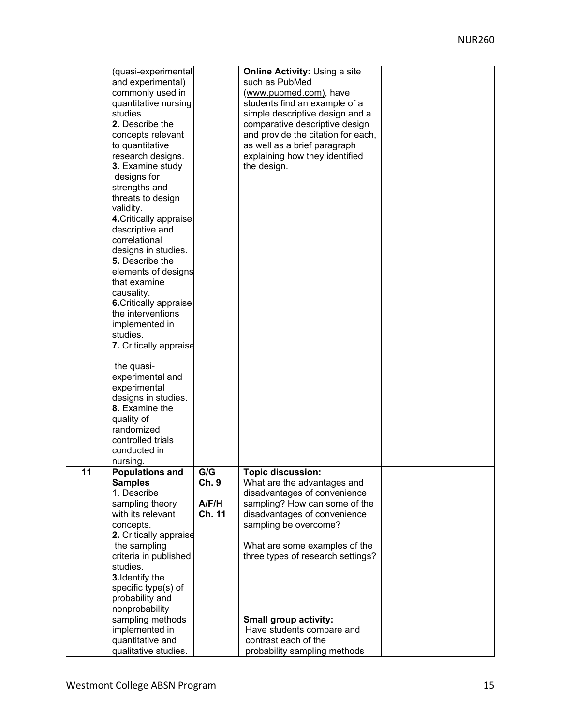|    | (quasi-experimental                 |        | <b>Online Activity: Using a site</b> |  |
|----|-------------------------------------|--------|--------------------------------------|--|
|    | and experimental)                   |        | such as PubMed                       |  |
|    | commonly used in                    |        |                                      |  |
|    |                                     |        | (www.pubmed.com), have               |  |
|    | quantitative nursing                |        | students find an example of a        |  |
|    | studies.                            |        | simple descriptive design and a      |  |
|    | 2. Describe the                     |        | comparative descriptive design       |  |
|    | concepts relevant                   |        | and provide the citation for each,   |  |
|    | to quantitative                     |        | as well as a brief paragraph         |  |
|    | research designs.                   |        | explaining how they identified       |  |
|    | 3. Examine study                    |        | the design.                          |  |
|    | designs for                         |        |                                      |  |
|    | strengths and                       |        |                                      |  |
|    | threats to design                   |        |                                      |  |
|    | validity.                           |        |                                      |  |
|    | 4. Critically appraise              |        |                                      |  |
|    | descriptive and                     |        |                                      |  |
|    | correlational                       |        |                                      |  |
|    | designs in studies.                 |        |                                      |  |
|    | 5. Describe the                     |        |                                      |  |
|    |                                     |        |                                      |  |
|    | elements of designs<br>that examine |        |                                      |  |
|    |                                     |        |                                      |  |
|    | causality.                          |        |                                      |  |
|    | 6. Critically appraise              |        |                                      |  |
|    | the interventions                   |        |                                      |  |
|    | implemented in                      |        |                                      |  |
|    | studies.                            |        |                                      |  |
|    | 7. Critically appraise              |        |                                      |  |
|    |                                     |        |                                      |  |
|    | the quasi-                          |        |                                      |  |
|    | experimental and                    |        |                                      |  |
|    | experimental                        |        |                                      |  |
|    | designs in studies.                 |        |                                      |  |
|    | 8. Examine the                      |        |                                      |  |
|    | quality of                          |        |                                      |  |
|    | randomized                          |        |                                      |  |
|    | controlled trials                   |        |                                      |  |
|    | conducted in                        |        |                                      |  |
|    | nursing.                            |        |                                      |  |
| 11 | <b>Populations and</b>              | G/G    | <b>Topic discussion:</b>             |  |
|    | <b>Samples</b>                      | Ch. 9  | What are the advantages and          |  |
|    | 1. Describe                         |        | disadvantages of convenience         |  |
|    | sampling theory                     | A/F/H  | sampling? How can some of the        |  |
|    | with its relevant                   | Ch. 11 | disadvantages of convenience         |  |
|    | concepts.                           |        | sampling be overcome?                |  |
|    | 2. Critically appraise              |        |                                      |  |
|    | the sampling                        |        | What are some examples of the        |  |
|    | criteria in published               |        | three types of research settings?    |  |
|    | studies.                            |        |                                      |  |
|    | 3. Identify the                     |        |                                      |  |
|    | specific type(s) of                 |        |                                      |  |
|    | probability and                     |        |                                      |  |
|    | nonprobability                      |        |                                      |  |
|    | sampling methods                    |        | <b>Small group activity:</b>         |  |
|    | implemented in                      |        | Have students compare and            |  |
|    | quantitative and                    |        | contrast each of the                 |  |
|    | qualitative studies.                |        | probability sampling methods         |  |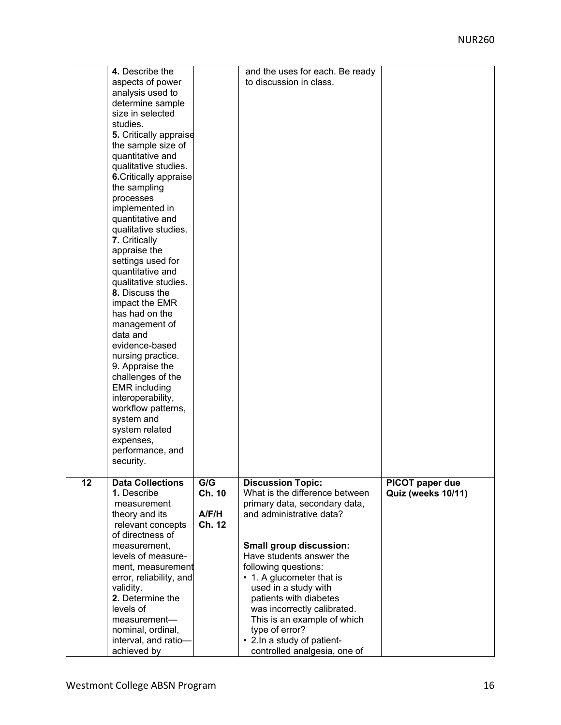|    | 4. Describe the                                                                                                                                                                                                                                                                                                                                                                                                                                                                                                                                                                                                                                                                                                          |                                  | and the uses for each. Be ready                                                                                                                                                                                                                                                                                                                                                                                                             |                                       |
|----|--------------------------------------------------------------------------------------------------------------------------------------------------------------------------------------------------------------------------------------------------------------------------------------------------------------------------------------------------------------------------------------------------------------------------------------------------------------------------------------------------------------------------------------------------------------------------------------------------------------------------------------------------------------------------------------------------------------------------|----------------------------------|---------------------------------------------------------------------------------------------------------------------------------------------------------------------------------------------------------------------------------------------------------------------------------------------------------------------------------------------------------------------------------------------------------------------------------------------|---------------------------------------|
|    | aspects of power<br>analysis used to<br>determine sample<br>size in selected<br>studies.<br>5. Critically appraise<br>the sample size of<br>quantitative and<br>qualitative studies.<br><b>6.</b> Critically appraise<br>the sampling<br>processes<br>implemented in<br>quantitative and<br>qualitative studies.<br>7. Critically<br>appraise the<br>settings used for<br>quantitative and<br>qualitative studies.<br>8. Discuss the<br>impact the EMR<br>has had on the<br>management of<br>data and<br>evidence-based<br>nursing practice.<br>9. Appraise the<br>challenges of the<br><b>EMR</b> including<br>interoperability,<br>workflow patterns,<br>system and<br>system related<br>expenses,<br>performance, and |                                  | to discussion in class.                                                                                                                                                                                                                                                                                                                                                                                                                     |                                       |
|    | security.                                                                                                                                                                                                                                                                                                                                                                                                                                                                                                                                                                                                                                                                                                                |                                  |                                                                                                                                                                                                                                                                                                                                                                                                                                             |                                       |
| 12 | <b>Data Collections</b><br>1. Describe<br>measurement<br>theory and its<br>relevant concepts<br>of directness of<br>measurement,<br>levels of measure-<br>ment, measurement<br>error, reliability, and<br>validity.<br>2. Determine the<br>levels of<br>measurement-<br>nominal, ordinal,<br>interval, and ratio-<br>achieved by                                                                                                                                                                                                                                                                                                                                                                                         | G/G<br>Ch. 10<br>A/F/H<br>Ch. 12 | <b>Discussion Topic:</b><br>What is the difference between<br>primary data, secondary data,<br>and administrative data?<br><b>Small group discussion:</b><br>Have students answer the<br>following questions:<br>• 1. A glucometer that is<br>used in a study with<br>patients with diabetes<br>was incorrectly calibrated.<br>This is an example of which<br>type of error?<br>• 2. In a study of patient-<br>controlled analgesia, one of | PICOT paper due<br>Quiz (weeks 10/11) |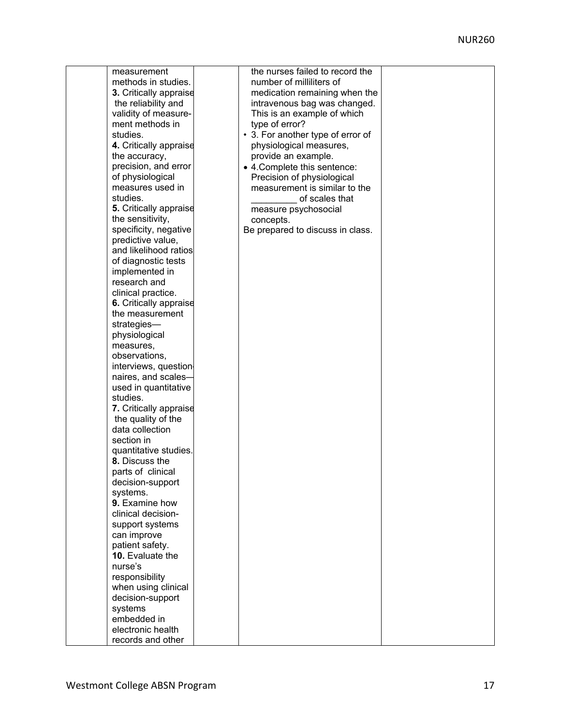| measurement                                  | the nurses failed to record the   |  |
|----------------------------------------------|-----------------------------------|--|
|                                              |                                   |  |
| methods in studies.                          | number of milliliters of          |  |
| 3. Critically appraise                       | medication remaining when the     |  |
| the reliability and                          | intravenous bag was changed.      |  |
| validity of measure-                         | This is an example of which       |  |
| ment methods in                              | type of error?                    |  |
| studies.                                     | • 3. For another type of error of |  |
| 4. Critically appraise                       | physiological measures,           |  |
| the accuracy,                                | provide an example.               |  |
| precision, and error                         | • 4. Complete this sentence:      |  |
| of physiological                             | Precision of physiological        |  |
| measures used in                             | measurement is similar to the     |  |
| studies.                                     |                                   |  |
|                                              | of scales that                    |  |
| 5. Critically appraise                       | measure psychosocial              |  |
| the sensitivity,                             | concepts.                         |  |
| specificity, negative                        | Be prepared to discuss in class.  |  |
| predictive value,                            |                                   |  |
| and likelihood ratios                        |                                   |  |
| of diagnostic tests                          |                                   |  |
| implemented in                               |                                   |  |
| research and                                 |                                   |  |
| clinical practice.                           |                                   |  |
| 6. Critically appraise                       |                                   |  |
| the measurement                              |                                   |  |
| strategies-                                  |                                   |  |
| physiological                                |                                   |  |
| measures,                                    |                                   |  |
| observations,                                |                                   |  |
|                                              |                                   |  |
| interviews, question-<br>naires, and scales- |                                   |  |
|                                              |                                   |  |
| used in quantitative                         |                                   |  |
| studies.                                     |                                   |  |
| 7. Critically appraise                       |                                   |  |
| the quality of the                           |                                   |  |
| data collection                              |                                   |  |
| section in                                   |                                   |  |
| quantitative studies.                        |                                   |  |
| 8. Discuss the                               |                                   |  |
| parts of clinical                            |                                   |  |
| decision-support                             |                                   |  |
| systems.                                     |                                   |  |
| 9. Examine how                               |                                   |  |
| clinical decision-                           |                                   |  |
| support systems                              |                                   |  |
| can improve                                  |                                   |  |
| patient safety.                              |                                   |  |
| 10. Evaluate the                             |                                   |  |
| nurse's                                      |                                   |  |
| responsibility                               |                                   |  |
| when using clinical                          |                                   |  |
| decision-support                             |                                   |  |
| systems                                      |                                   |  |
| embedded in                                  |                                   |  |
| electronic health                            |                                   |  |
|                                              |                                   |  |
| records and other                            |                                   |  |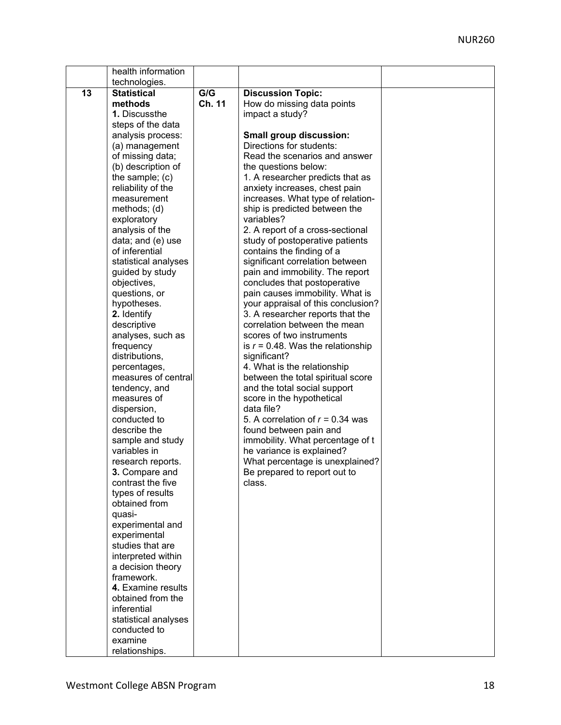|    | health information               |        |                                      |  |
|----|----------------------------------|--------|--------------------------------------|--|
|    | technologies.                    |        |                                      |  |
| 13 | <b>Statistical</b>               | G/G    | <b>Discussion Topic:</b>             |  |
|    | methods                          | Ch. 11 | How do missing data points           |  |
|    | 1. Discussthe                    |        | impact a study?                      |  |
|    | steps of the data                |        |                                      |  |
|    | analysis process:                |        | <b>Small group discussion:</b>       |  |
|    | (a) management                   |        | Directions for students:             |  |
|    | of missing data;                 |        | Read the scenarios and answer        |  |
|    | (b) description of               |        | the questions below:                 |  |
|    | the sample; (c)                  |        | 1. A researcher predicts that as     |  |
|    | reliability of the               |        | anxiety increases, chest pain        |  |
|    | measurement                      |        | increases. What type of relation-    |  |
|    | methods; (d)                     |        | ship is predicted between the        |  |
|    | exploratory                      |        | variables?                           |  |
|    | analysis of the                  |        | 2. A report of a cross-sectional     |  |
|    | data; and (e) use                |        | study of postoperative patients      |  |
|    | of inferential                   |        | contains the finding of a            |  |
|    | statistical analyses             |        | significant correlation between      |  |
|    | guided by study                  |        | pain and immobility. The report      |  |
|    | objectives,                      |        | concludes that postoperative         |  |
|    | questions, or                    |        | pain causes immobility. What is      |  |
|    | hypotheses.                      |        | your appraisal of this conclusion?   |  |
|    | 2. Identify                      |        | 3. A researcher reports that the     |  |
|    | descriptive                      |        | correlation between the mean         |  |
|    | analyses, such as                |        | scores of two instruments            |  |
|    | frequency                        |        | is $r = 0.48$ . Was the relationship |  |
|    | distributions,                   |        | significant?                         |  |
|    | percentages,                     |        | 4. What is the relationship          |  |
|    | measures of central              |        | between the total spiritual score    |  |
|    | tendency, and                    |        | and the total social support         |  |
|    | measures of                      |        | score in the hypothetical            |  |
|    | dispersion,                      |        | data file?                           |  |
|    | conducted to                     |        | 5. A correlation of $r = 0.34$ was   |  |
|    | describe the                     |        | found between pain and               |  |
|    | sample and study                 |        | immobility. What percentage of t     |  |
|    | variables in                     |        | he variance is explained?            |  |
|    | research reports.                |        | What percentage is unexplained?      |  |
|    | 3. Compare and                   |        | Be prepared to report out to         |  |
|    | contrast the five                |        | class.                               |  |
|    | types of results                 |        |                                      |  |
|    | obtained from                    |        |                                      |  |
|    | quasi-                           |        |                                      |  |
|    | experimental and                 |        |                                      |  |
|    | experimental<br>studies that are |        |                                      |  |
|    | interpreted within               |        |                                      |  |
|    | a decision theory                |        |                                      |  |
|    | framework.                       |        |                                      |  |
|    | 4. Examine results               |        |                                      |  |
|    | obtained from the                |        |                                      |  |
|    | inferential                      |        |                                      |  |
|    | statistical analyses             |        |                                      |  |
|    | conducted to                     |        |                                      |  |
|    | examine                          |        |                                      |  |
|    | relationships.                   |        |                                      |  |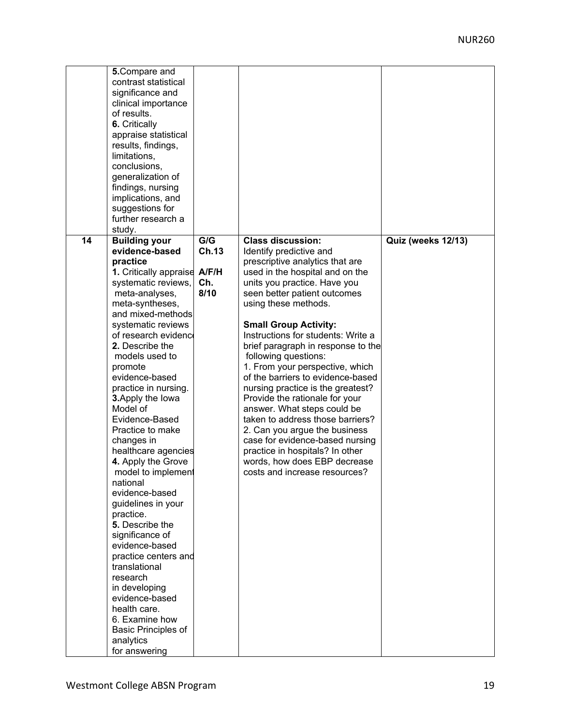| 5. Compare and<br>contrast statistical<br>significance and<br>clinical importance<br>of results.<br>6. Critically<br>appraise statistical<br>results, findings,<br>limitations,<br>conclusions,                                                                                                                                                                                                                                                                                                                                                                                                                                                                                                                                                                                   |                             |                                                                                                                                                                                                                                                                                                                                                                                                                                                                                                                                                                                                                                                                                                                                                 |                    |
|-----------------------------------------------------------------------------------------------------------------------------------------------------------------------------------------------------------------------------------------------------------------------------------------------------------------------------------------------------------------------------------------------------------------------------------------------------------------------------------------------------------------------------------------------------------------------------------------------------------------------------------------------------------------------------------------------------------------------------------------------------------------------------------|-----------------------------|-------------------------------------------------------------------------------------------------------------------------------------------------------------------------------------------------------------------------------------------------------------------------------------------------------------------------------------------------------------------------------------------------------------------------------------------------------------------------------------------------------------------------------------------------------------------------------------------------------------------------------------------------------------------------------------------------------------------------------------------------|--------------------|
| generalization of<br>findings, nursing<br>implications, and<br>suggestions for<br>further research a<br>study.                                                                                                                                                                                                                                                                                                                                                                                                                                                                                                                                                                                                                                                                    |                             |                                                                                                                                                                                                                                                                                                                                                                                                                                                                                                                                                                                                                                                                                                                                                 |                    |
| 14<br><b>Building your</b><br>evidence-based<br>practice<br>1. Critically appraise A/F/H<br>systematic reviews,<br>meta-analyses,<br>meta-syntheses,<br>and mixed-methods<br>systematic reviews<br>of research evidence<br>2. Describe the<br>models used to<br>promote<br>evidence-based<br>practice in nursing.<br>3. Apply the lowa<br>Model of<br>Evidence-Based<br>Practice to make<br>changes in<br>healthcare agencies<br>4. Apply the Grove<br>model to implement<br>national<br>evidence-based<br>guidelines in your<br>practice.<br>5. Describe the<br>significance of<br>evidence-based<br>practice centers and<br>translational<br>research<br>in developing<br>evidence-based<br>health care.<br>6. Examine how<br>Basic Principles of<br>analytics<br>for answering | G/G<br>Ch.13<br>Ch.<br>8/10 | <b>Class discussion:</b><br>Identify predictive and<br>prescriptive analytics that are<br>used in the hospital and on the<br>units you practice. Have you<br>seen better patient outcomes<br>using these methods.<br><b>Small Group Activity:</b><br>Instructions for students: Write a<br>brief paragraph in response to the<br>following questions:<br>1. From your perspective, which<br>of the barriers to evidence-based<br>nursing practice is the greatest?<br>Provide the rationale for your<br>answer. What steps could be<br>taken to address those barriers?<br>2. Can you argue the business<br>case for evidence-based nursing<br>practice in hospitals? In other<br>words, how does EBP decrease<br>costs and increase resources? | Quiz (weeks 12/13) |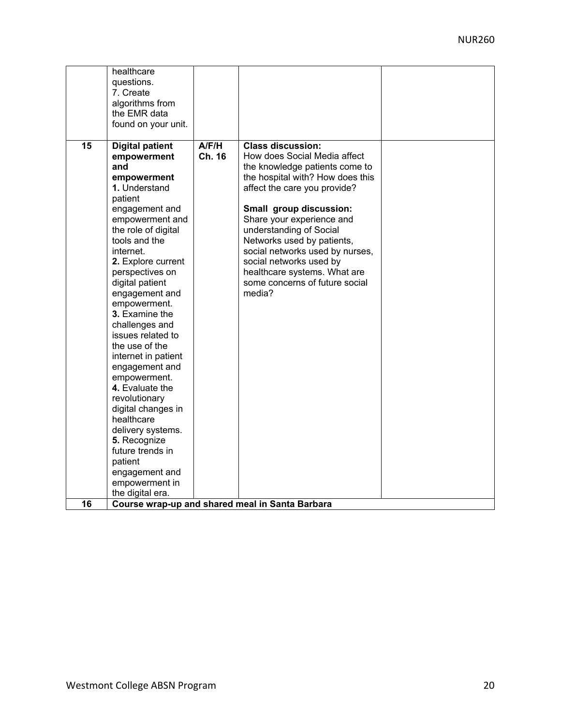|                 | healthcare             |        |                                                 |  |
|-----------------|------------------------|--------|-------------------------------------------------|--|
|                 | questions.             |        |                                                 |  |
|                 | 7. Create              |        |                                                 |  |
|                 |                        |        |                                                 |  |
|                 | algorithms from        |        |                                                 |  |
|                 | the EMR data           |        |                                                 |  |
|                 | found on your unit.    |        |                                                 |  |
| $\overline{15}$ | <b>Digital patient</b> | A/F/H  | <b>Class discussion:</b>                        |  |
|                 | empowerment            | Ch. 16 | How does Social Media affect                    |  |
|                 | and                    |        | the knowledge patients come to                  |  |
|                 | empowerment            |        | the hospital with? How does this                |  |
|                 | 1. Understand          |        | affect the care you provide?                    |  |
|                 | patient                |        |                                                 |  |
|                 | engagement and         |        | Small group discussion:                         |  |
|                 | empowerment and        |        | Share your experience and                       |  |
|                 | the role of digital    |        | understanding of Social                         |  |
|                 | tools and the          |        | Networks used by patients,                      |  |
|                 | internet.              |        | social networks used by nurses,                 |  |
|                 | 2. Explore current     |        | social networks used by                         |  |
|                 | perspectives on        |        | healthcare systems. What are                    |  |
|                 | digital patient        |        | some concerns of future social                  |  |
|                 | engagement and         |        | media?                                          |  |
|                 | empowerment.           |        |                                                 |  |
|                 | 3. Examine the         |        |                                                 |  |
|                 | challenges and         |        |                                                 |  |
|                 | issues related to      |        |                                                 |  |
|                 | the use of the         |        |                                                 |  |
|                 | internet in patient    |        |                                                 |  |
|                 | engagement and         |        |                                                 |  |
|                 | empowerment.           |        |                                                 |  |
|                 | 4. Evaluate the        |        |                                                 |  |
|                 | revolutionary          |        |                                                 |  |
|                 | digital changes in     |        |                                                 |  |
|                 | healthcare             |        |                                                 |  |
|                 | delivery systems.      |        |                                                 |  |
|                 | 5. Recognize           |        |                                                 |  |
|                 | future trends in       |        |                                                 |  |
|                 | patient                |        |                                                 |  |
|                 | engagement and         |        |                                                 |  |
|                 | empowerment in         |        |                                                 |  |
|                 | the digital era.       |        |                                                 |  |
| 16              |                        |        | Course wrap-up and shared meal in Santa Barbara |  |